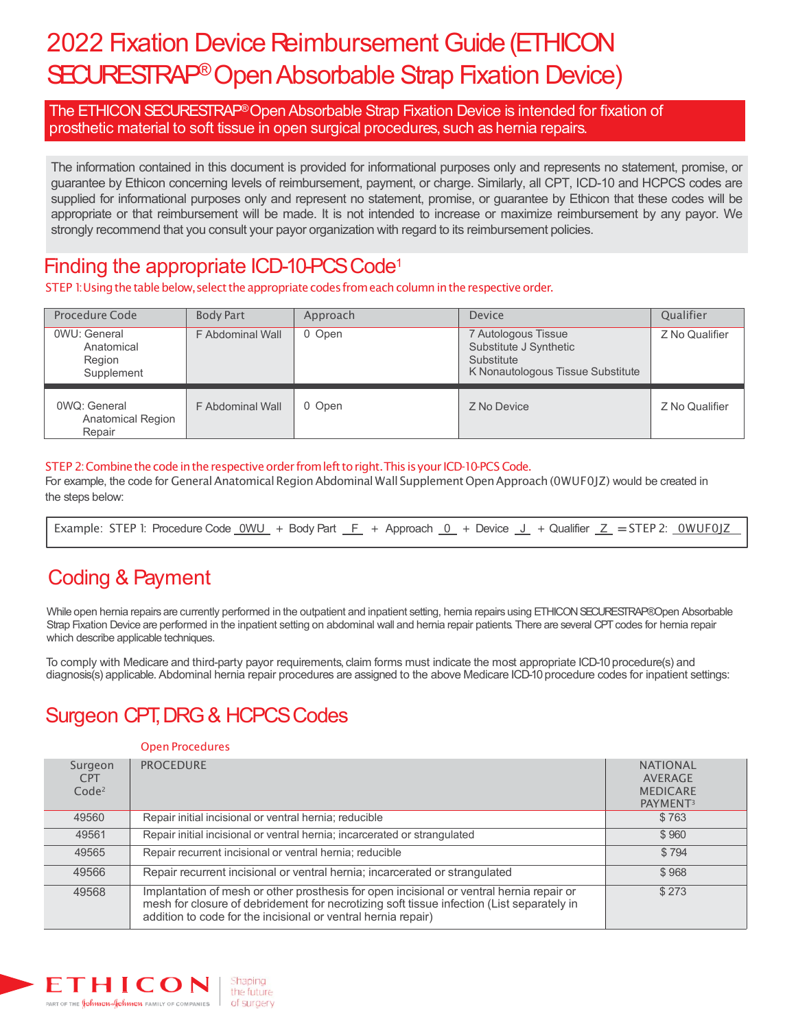# 2022 Fixation Device Reimbursement Guide (ETHICON SECURESTRAP<sup>®</sup> Open Absorbable Strap Fixation Device)

The ETHICON SECURESTRAP®Open Absorbable Strap Fixation Device is intended for fixation of prosthetic material to soft tissue in open surgical procedures, such as hernia repairs.

The information contained in this document is provided for informational purposes only and represents no statement, promise, or guarantee by Ethicon concerning levels of reimbursement, payment, or charge. Similarly, all CPT, ICD-10 and HCPCS codes are supplied for informational purposes only and represent no statement, promise, or guarantee by Ethicon that these codes will be appropriate or that reimbursement will be made. It is not intended to increase or maximize reimbursement by any payor. We strongly recommend that you consult your payor organization with regard to its reimbursement policies.

### Finding the appropriate ICD-10-PCS Code<sup>1</sup>

STEP 1: Using the table below, select the appropriate codes from each column in the respective order.

| Procedure Code                                            | <b>Body Part</b> | Approach | <b>Device</b>                                                                                    | <b>Oualifier</b> |
|-----------------------------------------------------------|------------------|----------|--------------------------------------------------------------------------------------------------|------------------|
| 0WU: General<br>Anatomical<br>Region<br>Supplement        | F Abdominal Wall | 0 Open   | 7 Autologous Tissue<br>Substitute J Synthetic<br>Substitute<br>K Nonautologous Tissue Substitute | Z No Qualifier   |
| <b>OWQ: General</b><br><b>Anatomical Region</b><br>Repair | F Abdominal Wall | 0 Open   | Z No Device                                                                                      | Z No Qualifier   |

### STEP 2: Combine the code in the respective order from left to right. This is your ICD-10-PCS Code.

For example, the code for General Anatomical Region Abdominal Wall Supplement Open Approach (0WUF0JZ) would be created in the steps below:

| Example: STEP 1: Procedure Code <u>OWU</u> + Body Part <del>F +</del> Approach <u>O</u> + Device <u>J</u> + Qualifier <u>Z</u> = STEP 2: <u>OWUF0JZ</u> |  |
|---------------------------------------------------------------------------------------------------------------------------------------------------------|--|
|---------------------------------------------------------------------------------------------------------------------------------------------------------|--|

# Coding & Payment

While open hernia repairs are currently performed in the outpatient and inpatient setting, hernia repairs using ETHICON SECURESTRAP®Open Absorbable Strap Fixation Device are performed in the inpatient setting on abdominal wall and hernia repair patients. There are several CPT codes for hernia repair which describe applicable techniques.

To comply with Medicare and third-party payor requirements, claim forms must indicate the most appropriate ICD-10 procedure(s) and diagnosis(s) applicable. Abdominal hernia repair procedures are assigned to the above Medicare ICD-10 procedure codes for inpatient settings:

# Surgeon CPT, DRG & HCPCS Codes

#### Open Procedures

| Surgeon<br><b>CPT</b><br>Code <sup>2</sup> | <b>PROCEDURE</b>                                                                                                                                                                                                                                       | <b>NATIONAL</b><br>AVERAGE<br><b>MEDICARE</b><br>PAYMENT <sup>3</sup> |
|--------------------------------------------|--------------------------------------------------------------------------------------------------------------------------------------------------------------------------------------------------------------------------------------------------------|-----------------------------------------------------------------------|
| 49560                                      | Repair initial incisional or ventral hernia; reducible                                                                                                                                                                                                 | \$763                                                                 |
| 49561                                      | Repair initial incisional or ventral hernia; incarcerated or strangulated                                                                                                                                                                              | \$960                                                                 |
| 49565                                      | Repair recurrent incisional or ventral hernia; reducible                                                                                                                                                                                               | \$794                                                                 |
| 49566                                      | Repair recurrent incisional or ventral hernia; incarcerated or strangulated                                                                                                                                                                            | \$968                                                                 |
| 49568                                      | Implantation of mesh or other prosthesis for open incisional or ventral hernia repair or<br>mesh for closure of debridement for necrotizing soft tissue infection (List separately in<br>addition to code for the incisional or ventral hernia repair) | \$273                                                                 |